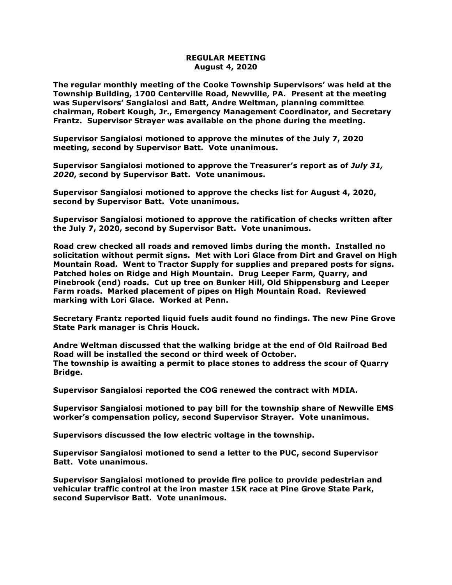## **REGULAR MEETING August 4, 2020**

**The regular monthly meeting of the Cooke Township Supervisors' was held at the Township Building, 1700 Centerville Road, Newville, PA. Present at the meeting was Supervisors' Sangialosi and Batt, Andre Weltman, planning committee chairman, Robert Kough, Jr., Emergency Management Coordinator, and Secretary Frantz. Supervisor Strayer was available on the phone during the meeting.**

**Supervisor Sangialosi motioned to approve the minutes of the July 7, 2020 meeting, second by Supervisor Batt. Vote unanimous.** 

**Supervisor Sangialosi motioned to approve the Treasurer's report as of** *July 31, 2020***, second by Supervisor Batt. Vote unanimous.**

**Supervisor Sangialosi motioned to approve the checks list for August 4, 2020, second by Supervisor Batt. Vote unanimous.**

**Supervisor Sangialosi motioned to approve the ratification of checks written after the July 7, 2020, second by Supervisor Batt. Vote unanimous.**

**Road crew checked all roads and removed limbs during the month. Installed no solicitation without permit signs. Met with Lori Glace from Dirt and Gravel on High Mountain Road. Went to Tractor Supply for supplies and prepared posts for signs. Patched holes on Ridge and High Mountain. Drug Leeper Farm, Quarry, and Pinebrook (end) roads. Cut up tree on Bunker Hill, Old Shippensburg and Leeper Farm roads. Marked placement of pipes on High Mountain Road. Reviewed marking with Lori Glace. Worked at Penn.**

**Secretary Frantz reported liquid fuels audit found no findings. The new Pine Grove State Park manager is Chris Houck.**

**Andre Weltman discussed that the walking bridge at the end of Old Railroad Bed Road will be installed the second or third week of October. The township is awaiting a permit to place stones to address the scour of Quarry Bridge.**

**Supervisor Sangialosi reported the COG renewed the contract with MDIA.**

**Supervisor Sangialosi motioned to pay bill for the township share of Newville EMS worker's compensation policy, second Supervisor Strayer. Vote unanimous.**

**Supervisors discussed the low electric voltage in the township.**

**Supervisor Sangialosi motioned to send a letter to the PUC, second Supervisor Batt. Vote unanimous.** 

**Supervisor Sangialosi motioned to provide fire police to provide pedestrian and vehicular traffic control at the iron master 15K race at Pine Grove State Park, second Supervisor Batt. Vote unanimous.**